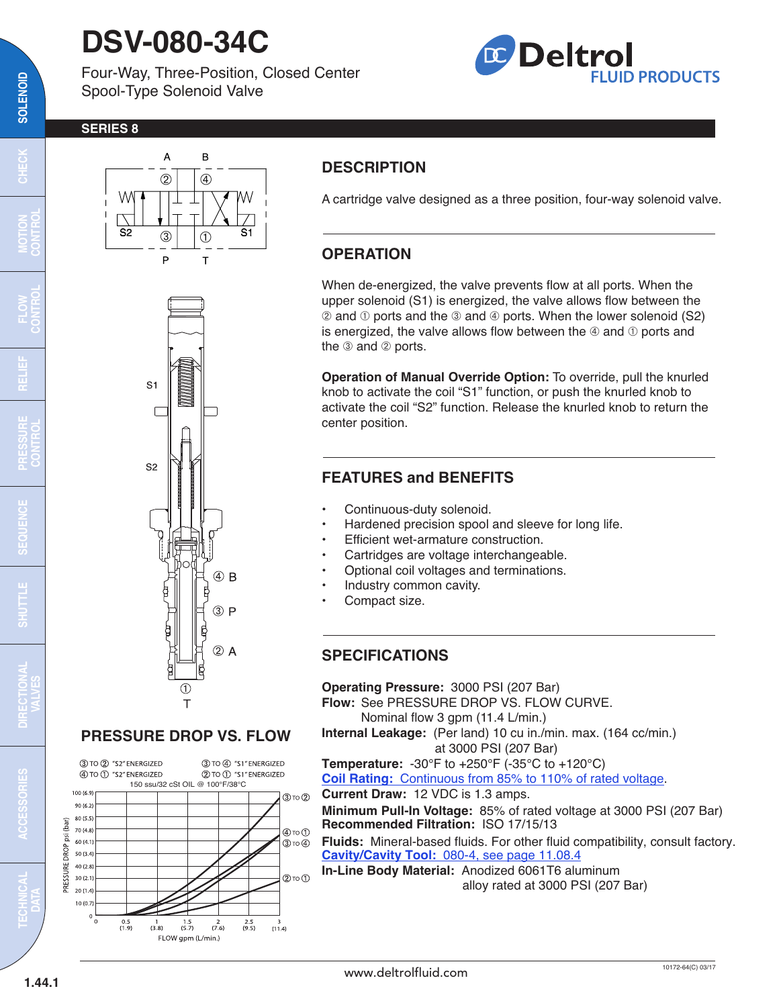# **DSV-080-34C**

Four-Way, Three-Position, Closed Center Spool-Type Solenoid Valve



#### **SERIES 8**



# $S^1$  $S<sub>2</sub>$  $(4)$  B  $(3)P$  $(2)$  A

## **PRESSURE DROP VS. FLOW**

 $^\circledR$  $\overline{1}$ 



# **DESCRIPTION**

A cartridge valve designed as a three position, four-way solenoid valve.

## **OPERATION**

When de-energized, the valve prevents flow at all ports. When the upper solenoid (S1) is energized, the valve allows flow between the  $\oslash$  and  $\oslash$  ports and the  $\oslash$  and  $\oslash$  ports. When the lower solenoid (S2) is energized, the valve allows flow between the  $\Phi$  and  $\Phi$  ports and the  $\circledcirc$  and  $\circledcirc$  ports.

**Operation of Manual Override Option:** To override, pull the knurled knob to activate the coil "S1" function, or push the knurled knob to activate the coil "S2" function. Release the knurled knob to return the center position.

## **FEATURES and BENEFITS**

- Continuous-duty solenoid.
- Hardened precision spool and sleeve for long life.
- Efficient wet-armature construction.
- Cartridges are voltage interchangeable.
- Optional coil voltages and terminations.
- Industry common cavity.
- Compact size.

#### **SPECIFICATIONS**

**Operating Pressure:** 3000 PSI (207 Bar) **Flow:** See PRESSURE DROP VS. FLOW CURVE. Nominal flow 3 gpm (11.4 L/min.) **Internal Leakage:** (Per land) 10 cu in./min. max. (164 cc/min.) at 3000 PSI (207 Bar) **Temperature:** -30°F to +250°F (-35°C to +120°C) **Coil Rating:** [Continuous from 85% to 110% of rated voltage.](http://www.deltrolfluid.com/sites/default/files/cartridge/Series-8%20Coils_Complete.pdf) **Current Draw:** 12 VDC is 1.3 amps. **Minimum Pull-In Voltage:** 85% of rated voltage at 3000 PSI (207 Bar) **Recommended Filtration:** ISO 17/15/13 **Fluids:** Mineral-based fluids. For other fluid compatibility, consult factory. **Cavity/Cavity Tool:** [080-4, see page 11.08.4](http://www.deltrolfluid.com/sites/default/files/cartridge/080-4_Cavity.pdf) **In-Line Body Material:** Anodized 6061T6 aluminum

alloy rated at 3000 PSI (207 Bar)

 $\overline{\mathbf{c}}$ 

**MOTION CONTROL**

**RELIEF**

**FLOW CONTROL**

**PRESSURE CONTROL**

œ

**SEQUENCE**

**UDES** 

**SHUTTLE DIRECTIONAL**

SHUTTLE

**VALVES**

**TECHNICAL DATA**

**ACCESSORIES**